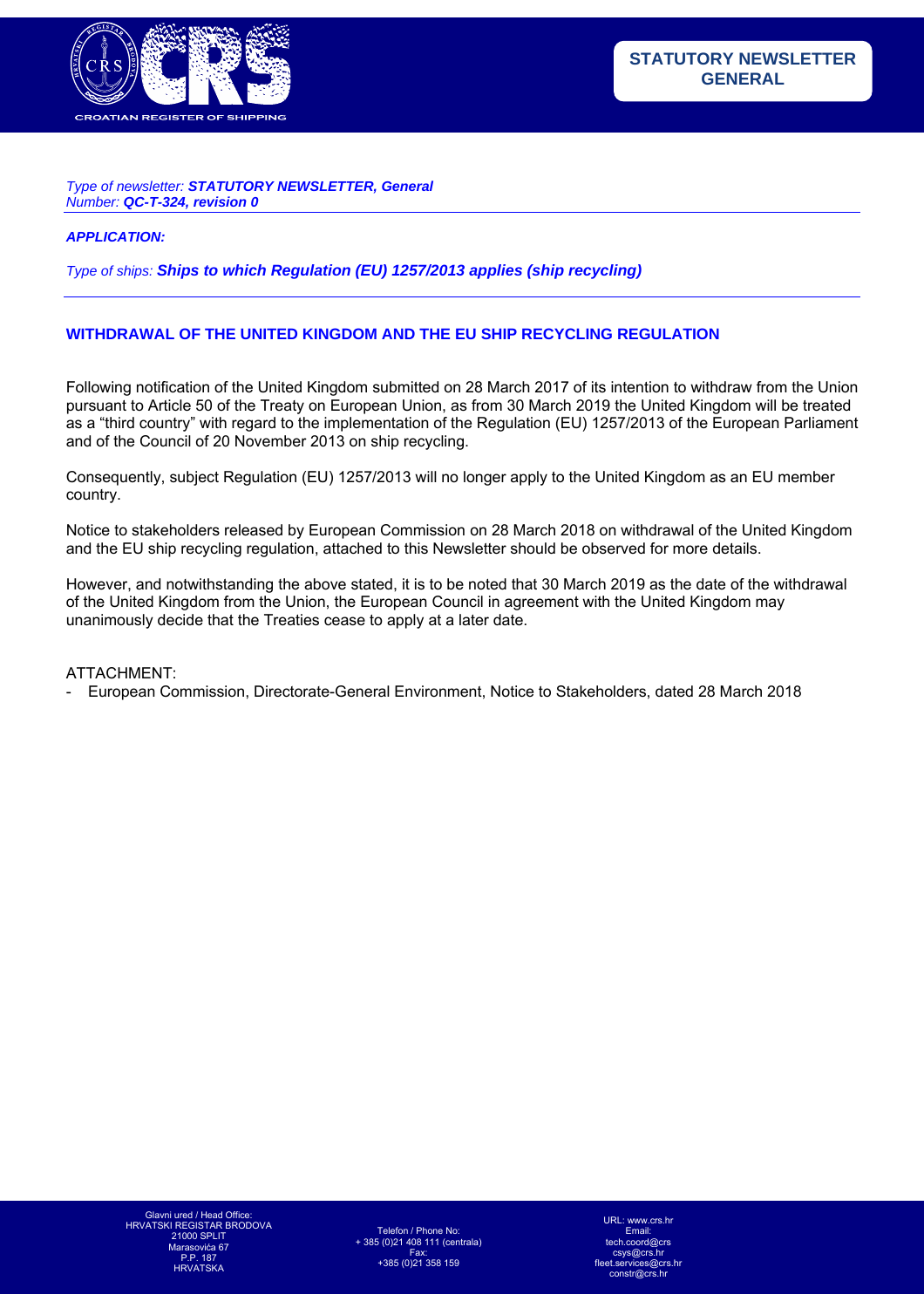

#### *Type of newsletter: STATUTORY NEWSLETTER, General Number: QC-T-324, revision 0*

#### *APPLICATION:*

*Type of ships: Ships to which Regulation (EU) 1257/2013 applies (ship recycling)*

### **WITHDRAWAL OF THE UNITED KINGDOM AND THE EU SHIP RECYCLING REGULATION**

Following notification of the United Kingdom submitted on 28 March 2017 of its intention to withdraw from the Union pursuant to Article 50 of the Treaty on European Union, as from 30 March 2019 the United Kingdom will be treated as a "third country" with regard to the implementation of the Regulation (EU) 1257/2013 of the European Parliament and of the Council of 20 November 2013 on ship recycling.

Consequently, subject Regulation (EU) 1257/2013 will no longer apply to the United Kingdom as an EU member country.

Notice to stakeholders released by European Commission on 28 March 2018 on withdrawal of the United Kingdom and the EU ship recycling regulation, attached to this Newsletter should be observed for more details.

However, and notwithstanding the above stated, it is to be noted that 30 March 2019 as the date of the withdrawal of the United Kingdom from the Union, the European Council in agreement with the United Kingdom may unanimously decide that the Treaties cease to apply at a later date.

### ATTACHMENT:

- European Commission, Directorate-General Environment, Notice to Stakeholders, dated 28 March 2018

URL: www.crs.h Email:  $t$ ch. csys@crs.hr s@crs.h  $constr@crs$  h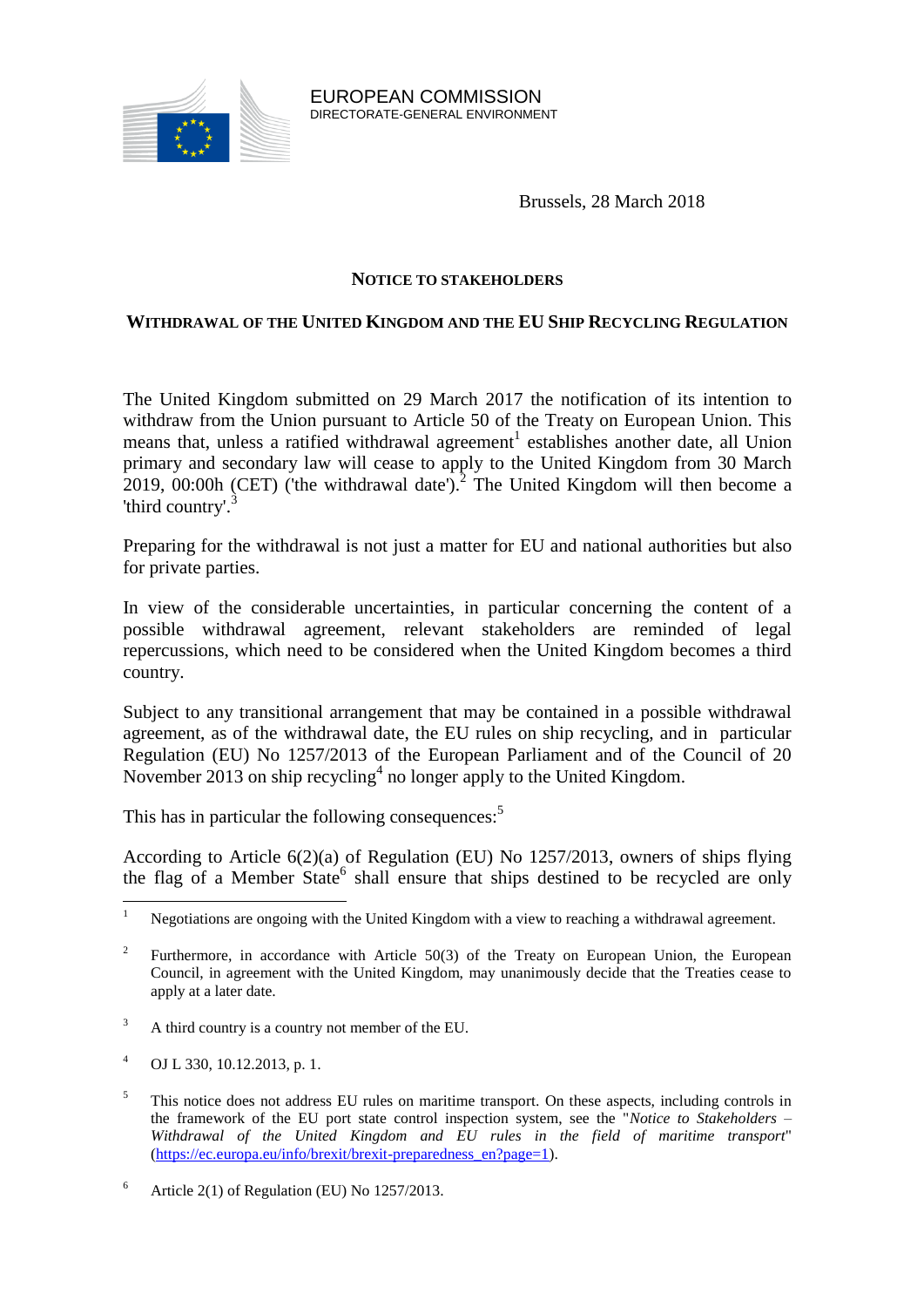

Brussels, 28 March 2018

## **NOTICE TO STAKEHOLDERS**

# **WITHDRAWAL OF THE UNITED KINGDOM AND THE EU SHIP RECYCLING REGULATION**

The United Kingdom submitted on 29 March 2017 the notification of its intention to withdraw from the Union pursuant to Article 50 of the Treaty on European Union. This means that, unless a ratified withdrawal agreement<sup>1</sup> establishes another date, all Union primary and secondary law will cease to apply to the United Kingdom from 30 March 2019, 00:00h (CET) ('the withdrawal date').<sup>2</sup> The United Kingdom will then become a 'third country'.<sup>3</sup>

Preparing for the withdrawal is not just a matter for EU and national authorities but also for private parties.

In view of the considerable uncertainties, in particular concerning the content of a possible withdrawal agreement, relevant stakeholders are reminded of legal repercussions, which need to be considered when the United Kingdom becomes a third country.

Subject to any transitional arrangement that may be contained in a possible withdrawal agreement, as of the withdrawal date, the EU rules on ship recycling, and in particular Regulation (EU) No 1257/2013 of the European Parliament and of the Council of 20 November 2013 on ship recycling<sup>4</sup> no longer apply to the United Kingdom.

This has in particular the following consequences:<sup>5</sup>

According to Article 6(2)(a) of Regulation (EU) No 1257/2013, owners of ships flying the flag of a Member State<sup>6</sup> shall ensure that ships destined to be recycled are only

- <sup>3</sup> A third country is a country not member of the EU.
- <sup>4</sup> OJ L 330, 10.12.2013, p. 1.

 $\mathbf{1}$ <sup>1</sup> Negotiations are ongoing with the United Kingdom with a view to reaching a withdrawal agreement.

 $\overline{2}$ Furthermore, in accordance with Article 50(3) of the Treaty on European Union, the European Council, in agreement with the United Kingdom, may unanimously decide that the Treaties cease to apply at a later date.

<sup>&</sup>lt;sup>5</sup> This notice does not address EU rules on maritime transport. On these aspects, including controls in the framework of the EU port state control inspection system, see the "*Notice to Stakeholders – Withdrawal of the United Kingdom and EU rules in the field of maritime transport*" [\(https://ec.europa.eu/info/brexit/brexit-preparedness\\_en?page=1\)](https://ec.europa.eu/info/brexit/brexit-preparedness_en?page=1).

<sup>&</sup>lt;sup>6</sup> Article 2(1) of Regulation (EU) No 1257/2013.